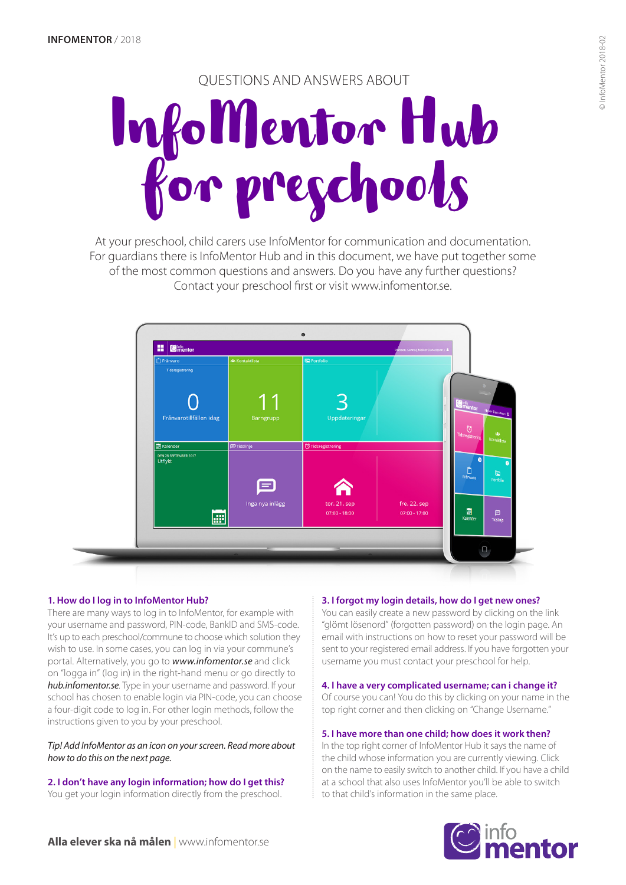# QUESTIONS AND ANSWERS ABOUT

# InfoMentor Hub for preschools

At your preschool, child carers use InfoMentor for communication and documentation. For guardians there is InfoMentor Hub and in this document, we have put together some of the most common questions and answers. Do you have any further questions? Contact your preschool first or visit www.infomentor.se.



# **1. How do I log in to InfoMentor Hub?**

There are many ways to log in to InfoMentor, for example with your username and password, PIN-code, BankID and SMS-code. It's up to each preschool/commune to choose which solution they wish to use. In some cases, you can log in via your commune's portal. Alternatively, you go to *www.infomentor.se* and click on "logga in" (log in) in the right-hand menu or go directly to *hub.infomentor.se*. Type in your username and password. If your school has chosen to enable login via PIN-code, you can choose a four-digit code to log in. For other login methods, follow the instructions given to you by your preschool.

*Tip! Add InfoMentor as an icon on your screen. Read more about how to do this on the next page.* 

**2. I don't have any login information; how do I get this?**  You get your login information directly from the preschool.

# **3. I forgot my login details, how do I get new ones?**

You can easily create a new password by clicking on the link "glömt lösenord" (forgotten password) on the login page. An email with instructions on how to reset your password will be sent to your registered email address. If you have forgotten your username you must contact your preschool for help.

# **4. I have a very complicated username; can i change it?**

Of course you can! You do this by clicking on your name in the top right corner and then clicking on "Change Username."

#### **5. I have more than one child; how does it work then?**

In the top right corner of InfoMentor Hub it says the name of the child whose information you are currently viewing. Click on the name to easily switch to another child. If you have a child at a school that also uses InfoMentor you'll be able to switch to that child's information in the same place.